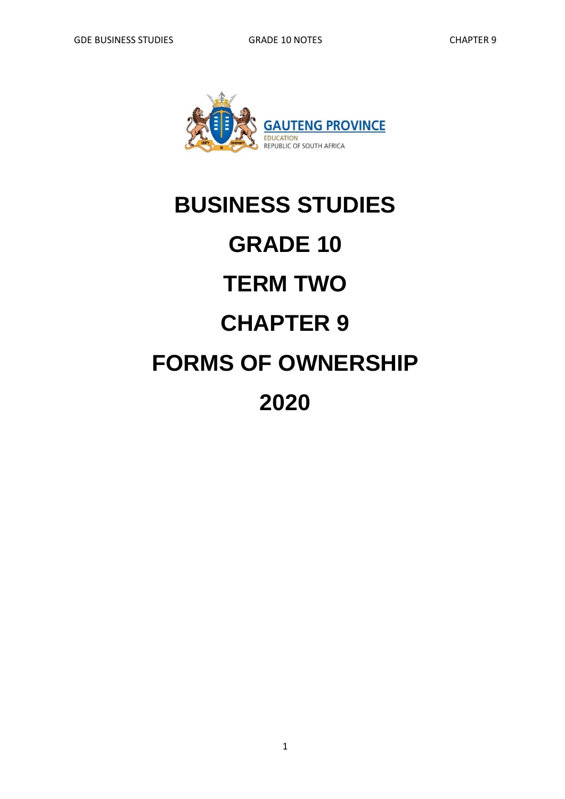

# **BUSINESS STUDIES GRADE 10 TERM TWO CHAPTER 9 FORMS OF OWNERSHIP 2020**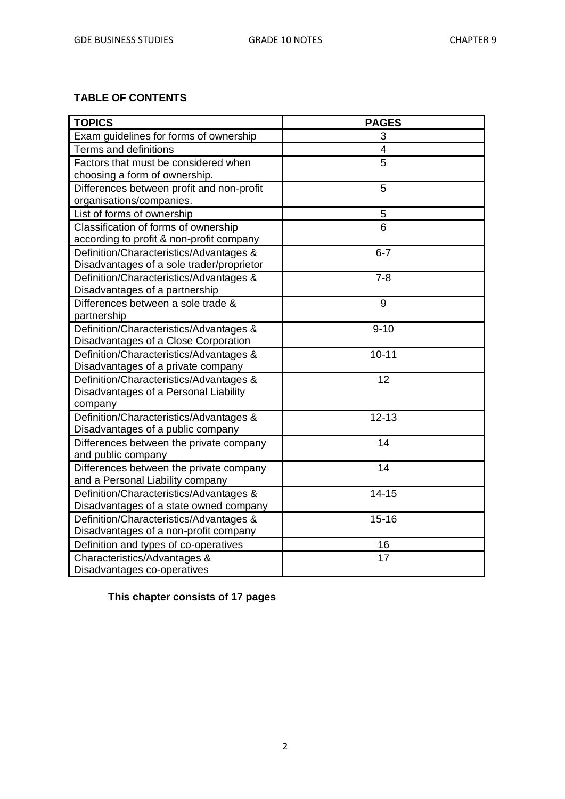#### **TABLE OF CONTENTS**

| <b>TOPICS</b>                                                               | <b>PAGES</b> |
|-----------------------------------------------------------------------------|--------------|
| Exam guidelines for forms of ownership                                      | 3            |
| <b>Terms and definitions</b>                                                | 4            |
| Factors that must be considered when                                        | 5            |
| choosing a form of ownership.                                               |              |
| Differences between profit and non-profit                                   | 5            |
| organisations/companies.                                                    |              |
| List of forms of ownership                                                  | 5            |
| Classification of forms of ownership                                        | 6            |
| according to profit & non-profit company                                    |              |
| Definition/Characteristics/Advantages &                                     | $6 - 7$      |
| Disadvantages of a sole trader/proprietor                                   |              |
| Definition/Characteristics/Advantages &                                     | $7 - 8$      |
| Disadvantages of a partnership                                              |              |
| Differences between a sole trade &                                          | 9            |
| partnership                                                                 |              |
| Definition/Characteristics/Advantages &                                     | $9 - 10$     |
| Disadvantages of a Close Corporation                                        |              |
| Definition/Characteristics/Advantages &                                     | $10 - 11$    |
| Disadvantages of a private company                                          |              |
| Definition/Characteristics/Advantages &                                     | 12           |
| Disadvantages of a Personal Liability                                       |              |
| company                                                                     |              |
| Definition/Characteristics/Advantages &                                     | $12 - 13$    |
| Disadvantages of a public company                                           |              |
| Differences between the private company                                     | 14           |
| and public company                                                          | 14           |
| Differences between the private company                                     |              |
| and a Personal Liability company<br>Definition/Characteristics/Advantages & | $14 - 15$    |
| Disadvantages of a state owned company                                      |              |
| Definition/Characteristics/Advantages &                                     | $15 - 16$    |
| Disadvantages of a non-profit company                                       |              |
| Definition and types of co-operatives                                       | 16           |
| Characteristics/Advantages &                                                | 17           |
| Disadvantages co-operatives                                                 |              |
|                                                                             |              |

**This chapter consists of 17 pages**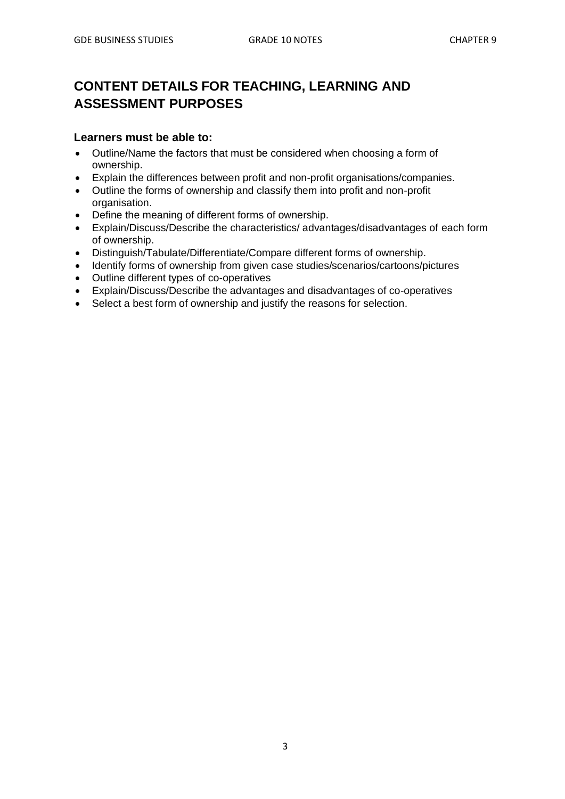# **CONTENT DETAILS FOR TEACHING, LEARNING AND ASSESSMENT PURPOSES**

#### **Learners must be able to:**

- Outline/Name the factors that must be considered when choosing a form of ownership.
- Explain the differences between profit and non-profit organisations/companies.
- Outline the forms of ownership and classify them into profit and non-profit organisation.
- Define the meaning of different forms of ownership.
- Explain/Discuss/Describe the characteristics/ advantages/disadvantages of each form of ownership.
- Distinguish/Tabulate/Differentiate/Compare different forms of ownership.
- Identify forms of ownership from given case studies/scenarios/cartoons/pictures
- Outline different types of co-operatives
- Explain/Discuss/Describe the advantages and disadvantages of co-operatives
- Select a best form of ownership and justify the reasons for selection.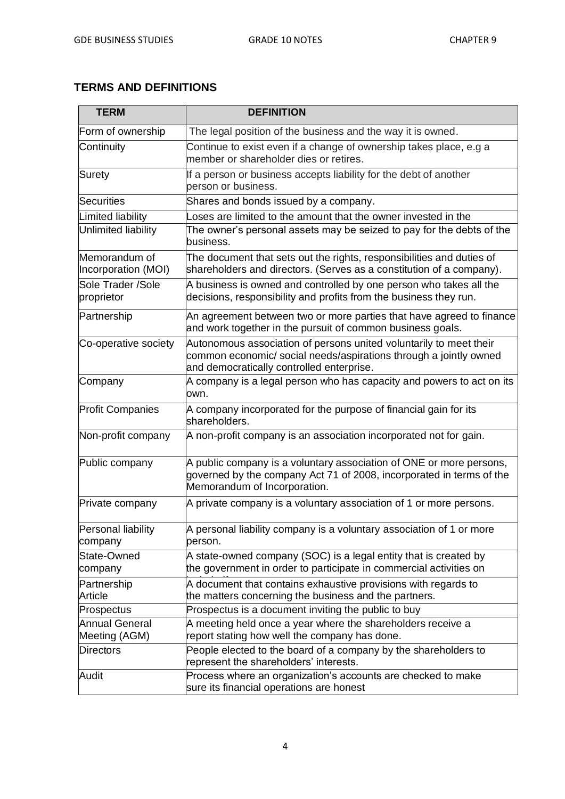#### **TERMS AND DEFINITIONS**

| <b>TERM</b>                          | <b>DEFINITION</b>                                                                                                                                                                    |
|--------------------------------------|--------------------------------------------------------------------------------------------------------------------------------------------------------------------------------------|
| Form of ownership                    | The legal position of the business and the way it is owned.                                                                                                                          |
| Continuity                           | Continue to exist even if a change of ownership takes place, e.g a<br>member or shareholder dies or retires.                                                                         |
| Surety                               | If a person or business accepts liability for the debt of another<br>person or business.                                                                                             |
| Securities                           | Shares and bonds issued by a company.                                                                                                                                                |
| Limited liability                    | oses are limited to the amount that the owner invested in the                                                                                                                        |
| Unlimited liability                  | The owner's personal assets may be seized to pay for the debts of the<br>business.                                                                                                   |
| Memorandum of<br>Incorporation (MOI) | The document that sets out the rights, responsibilities and duties of<br>shareholders and directors. (Serves as a constitution of a company).                                        |
| Sole Trader /Sole<br>proprietor      | A business is owned and controlled by one person who takes all the<br>decisions, responsibility and profits from the business they run.                                              |
| Partnership                          | An agreement between two or more parties that have agreed to finance<br>and work together in the pursuit of common business goals.                                                   |
| Co-operative society                 | Autonomous association of persons united voluntarily to meet their<br>common economic/ social needs/aspirations through a jointly owned<br>and democratically controlled enterprise. |
| Company                              | A company is a legal person who has capacity and powers to act on its<br>own.                                                                                                        |
| <b>Profit Companies</b>              | A company incorporated for the purpose of financial gain for its<br>shareholders.                                                                                                    |
| Non-profit company                   | A non-profit company is an association incorporated not for gain.                                                                                                                    |
| Public company                       | A public company is a voluntary association of ONE or more persons,<br>governed by the company Act 71 of 2008, incorporated in terms of the<br>Memorandum of Incorporation.          |
| Private company                      | A private company is a voluntary association of 1 or more persons.                                                                                                                   |
| Personal liability<br>company        | A personal liability company is a voluntary association of 1 or more<br>person.                                                                                                      |
| State-Owned<br>company               | A state-owned company (SOC) is a legal entity that is created by<br>the government in order to participate in commercial activities on                                               |
| Partnership<br>Article               | A document that contains exhaustive provisions with regards to<br>the matters concerning the business and the partners.                                                              |
| Prospectus                           | Prospectus is a document inviting the public to buy                                                                                                                                  |
| Annual General<br>Meeting (AGM)      | A meeting held once a year where the shareholders receive a<br>report stating how well the company has done.                                                                         |
| <b>Directors</b>                     | People elected to the board of a company by the shareholders to<br>represent the shareholders' interests.                                                                            |
| Audit                                | Process where an organization's accounts are checked to make<br>sure its financial operations are honest                                                                             |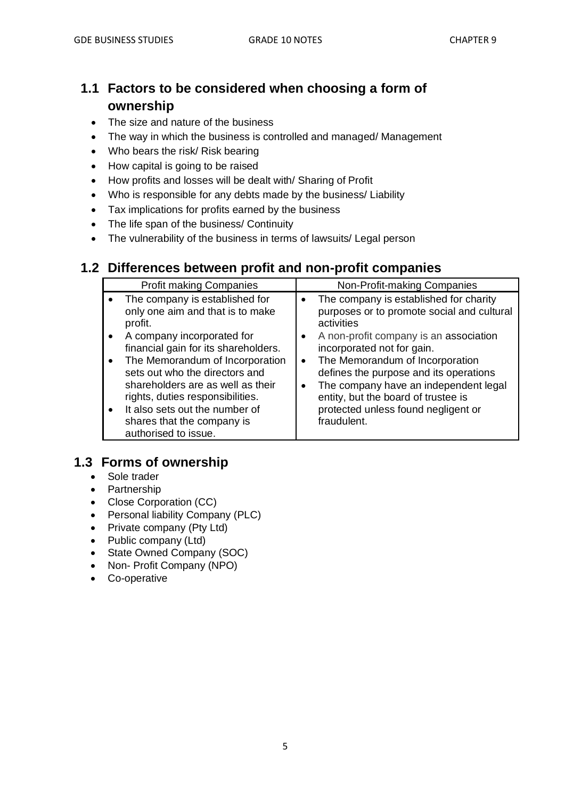# **1.1 Factors to be considered when choosing a form of ownership**

- The size and nature of the business
- The way in which the business is controlled and managed/ Management
- Who bears the risk/ Risk bearing
- How capital is going to be raised
- How profits and losses will be dealt with/ Sharing of Profit
- Who is responsible for any debts made by the business/ Liability
- Tax implications for profits earned by the business
- The life span of the business/ Continuity
- The vulnerability of the business in terms of lawsuits/ Legal person

# **1.2 Differences between profit and non-profit companies**

| <b>Profit making Companies</b>                                                                                                             |           | Non-Profit-making Companies                                                                                                                               |
|--------------------------------------------------------------------------------------------------------------------------------------------|-----------|-----------------------------------------------------------------------------------------------------------------------------------------------------------|
| The company is established for<br>only one aim and that is to make<br>profit.                                                              | ٠         | The company is established for charity<br>purposes or to promote social and cultural<br>activities                                                        |
| A company incorporated for<br>financial gain for its shareholders.                                                                         |           | A non-profit company is an association<br>incorporated not for gain.                                                                                      |
| The Memorandum of Incorporation<br>sets out who the directors and<br>shareholders are as well as their<br>rights, duties responsibilities. | $\bullet$ | The Memorandum of Incorporation<br>defines the purpose and its operations<br>The company have an independent legal<br>entity, but the board of trustee is |
| It also sets out the number of<br>shares that the company is<br>authorised to issue.                                                       |           | protected unless found negligent or<br>fraudulent.                                                                                                        |

# **1.3 Forms of ownership**

- Sole trader
- Partnership
- Close Corporation (CC)
- Personal liability Company (PLC)
- Private company (Pty Ltd)
- Public company (Ltd)
- State Owned Company (SOC)
- Non- Profit Company (NPO)
- Co-operative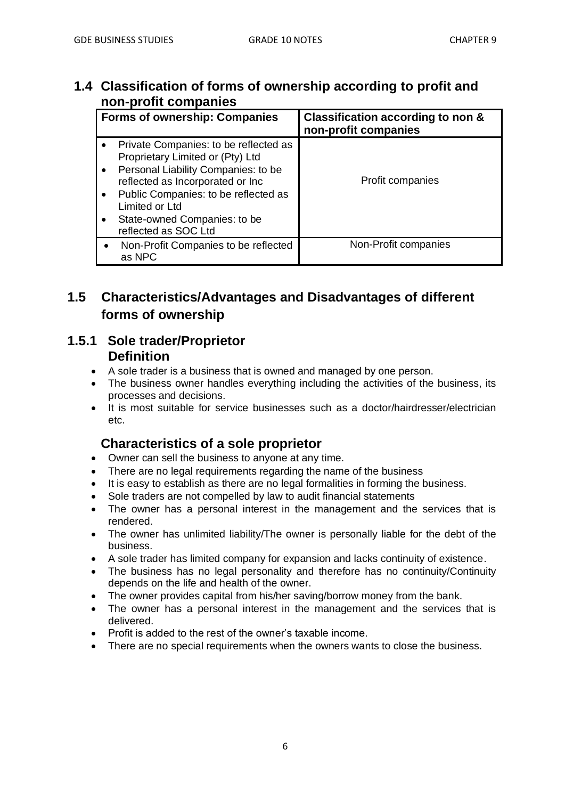# **1.4 Classification of forms of ownership according to profit and non-profit companies**

| <b>Forms of ownership: Companies</b>                                                                                                                                                                                                                                   | Classification according to non &<br>non-profit companies |
|------------------------------------------------------------------------------------------------------------------------------------------------------------------------------------------------------------------------------------------------------------------------|-----------------------------------------------------------|
| Private Companies: to be reflected as<br>Proprietary Limited or (Pty) Ltd<br>Personal Liability Companies: to be<br>reflected as Incorporated or Inc<br>Public Companies: to be reflected as<br>Limited or Ltd<br>State-owned Companies: to be<br>reflected as SOC Ltd | Profit companies                                          |
| Non-Profit Companies to be reflected<br>as NPC                                                                                                                                                                                                                         | Non-Profit companies                                      |

# **1.5 Characteristics/Advantages and Disadvantages of different forms of ownership**

# **1.5.1 Sole trader/Proprietor Definition**

- A sole trader is a business that is owned and managed by one person.
- The business owner handles everything including the activities of the business, its processes and decisions.
- It is most suitable for service businesses such as a doctor/hairdresser/electrician etc.

# **Characteristics of a sole proprietor**

- Owner can sell the business to anyone at any time.
- There are no legal requirements regarding the name of the business
- It is easy to establish as there are no legal formalities in forming the business.
- Sole traders are not compelled by law to audit financial statements
- The owner has a personal interest in the management and the services that is rendered.
- The owner has unlimited liability/The owner is personally liable for the debt of the business.
- A sole trader has limited company for expansion and lacks continuity of existence.
- The business has no legal personality and therefore has no continuity/Continuity depends on the life and health of the owner.
- The owner provides capital from his/her saving/borrow money from the bank.
- The owner has a personal interest in the management and the services that is delivered.
- Profit is added to the rest of the owner's taxable income.
- There are no special requirements when the owners wants to close the business.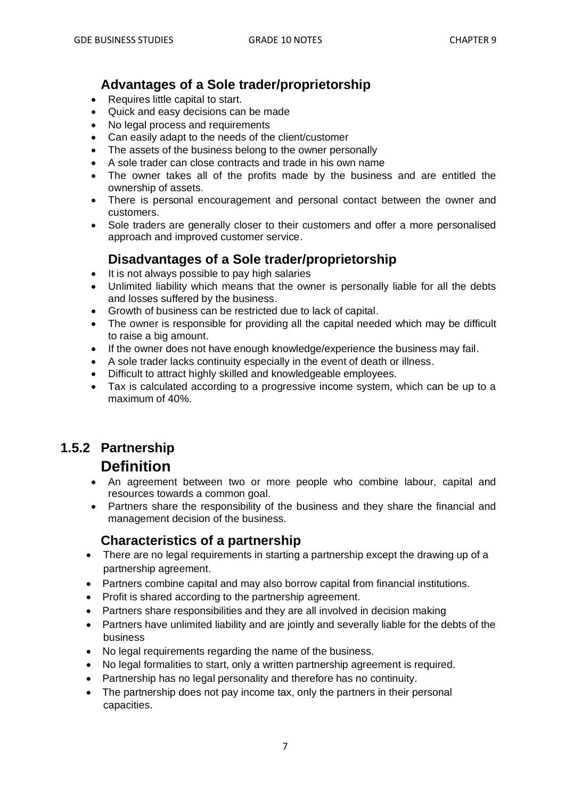# **Advantages of a Sole trader/proprietorship**

- Requires little capital to start.
- Quick and easy decisions can be made
- No legal process and requirements
- Can easily adapt to the needs of the client/customer
- The assets of the business belong to the owner personally
- A sole trader can close contracts and trade in his own name
- The owner takes all of the profits made by the business and are entitled the ownership of assets.
- There is personal encouragement and personal contact between the owner and customers.
- Sole traders are generally closer to their customers and offer a more personalised approach and improved customer service.

# **Disadvantages of a Sole trader/proprietorship**

- It is not always possible to pay high salaries
- Unlimited liability which means that the owner is personally liable for all the debts and losses suffered by the business.
- Growth of business can be restricted due to lack of capital.
- The owner is responsible for providing all the capital needed which may be difficult to raise a big amount.
- If the owner does not have enough knowledge/experience the business may fail.
- A sole trader lacks continuity especially in the event of death or illness.
- Difficult to attract highly skilled and knowledgeable employees.
- Tax is calculated according to a progressive income system, which can be up to a maximum of 40%.

# **1.5.2 Partnership**

# **Definition**

- An agreement between two or more people who combine labour, capital and resources towards a common goal.
- Partners share the responsibility of the business and they share the financial and management decision of the business.

#### **Characteristics of a partnership**

- There are no legal requirements in starting a partnership except the drawing up of a partnership agreement.
- Partners combine capital and may also borrow capital from financial institutions.
- Profit is shared according to the partnership agreement.
- Partners share responsibilities and they are all involved in decision making
- Partners have unlimited liability and are jointly and severally liable for the debts of the business
- No legal requirements regarding the name of the business.
- No legal formalities to start, only a written partnership agreement is required.
- Partnership has no legal personality and therefore has no continuity.
- The partnership does not pay income tax, only the partners in their personal capacities.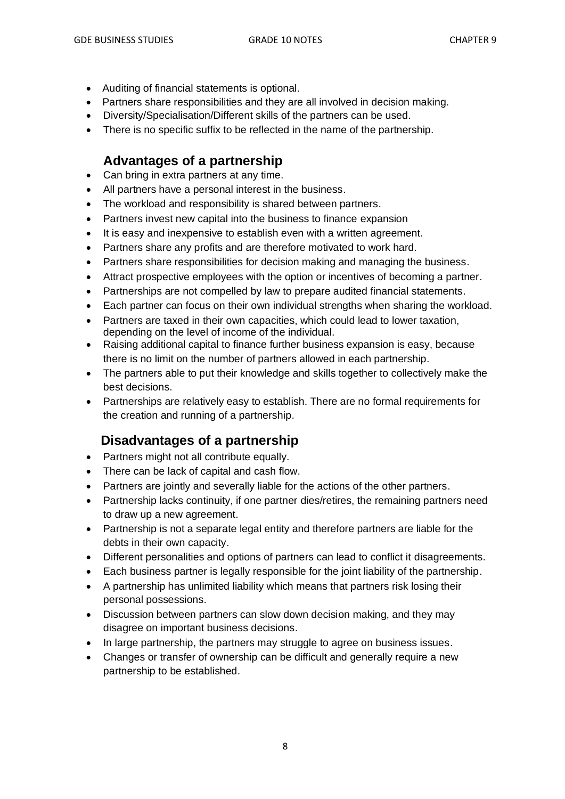- Auditing of financial statements is optional.
- Partners share responsibilities and they are all involved in decision making.
- Diversity/Specialisation/Different skills of the partners can be used.
- There is no specific suffix to be reflected in the name of the partnership.

# **Advantages of a partnership**

- Can bring in extra partners at any time.
- All partners have a personal interest in the business.
- The workload and responsibility is shared between partners.
- Partners invest new capital into the business to finance expansion
- It is easy and inexpensive to establish even with a written agreement.
- Partners share any profits and are therefore motivated to work hard.
- Partners share responsibilities for decision making and managing the business.
- Attract prospective employees with the option or incentives of becoming a partner.
- Partnerships are not compelled by law to prepare audited financial statements.
- Each partner can focus on their own individual strengths when sharing the workload.
- Partners are taxed in their own capacities, which could lead to lower taxation, depending on the level of income of the individual.
- Raising additional capital to finance further business expansion is easy, because there is no limit on the number of partners allowed in each partnership.
- The partners able to put their knowledge and skills together to collectively make the best decisions.
- Partnerships are relatively easy to establish. There are no formal requirements for the creation and running of a partnership.

# **Disadvantages of a partnership**

- Partners might not all contribute equally.
- There can be lack of capital and cash flow.
- Partners are jointly and severally liable for the actions of the other partners.
- Partnership lacks continuity, if one partner dies/retires, the remaining partners need to draw up a new agreement.
- Partnership is not a separate legal entity and therefore partners are liable for the debts in their own capacity.
- Different personalities and options of partners can lead to conflict it disagreements.
- Each business partner is legally responsible for the joint liability of the partnership.
- A partnership has unlimited liability which means that partners risk losing their personal possessions.
- Discussion between partners can slow down decision making, and they may disagree on important business decisions.
- In large partnership, the partners may struggle to agree on business issues.
- Changes or transfer of ownership can be difficult and generally require a new partnership to be established.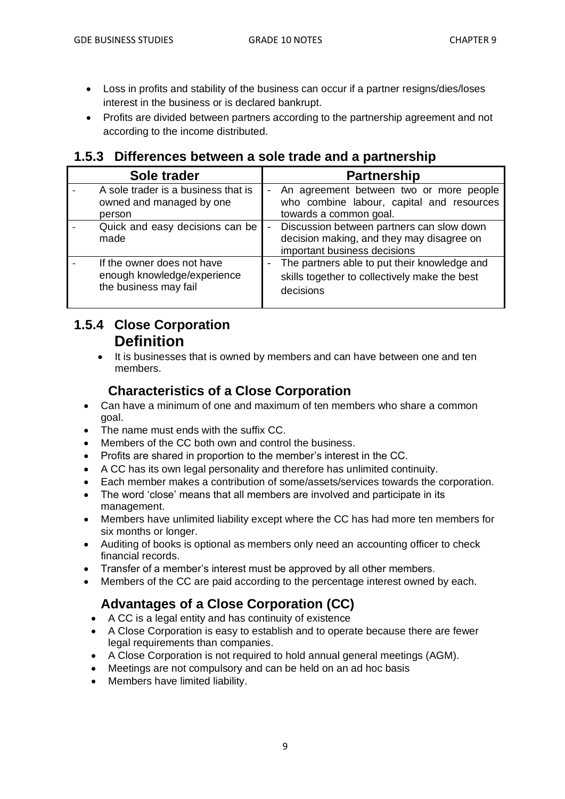- Loss in profits and stability of the business can occur if a partner resigns/dies/loses interest in the business or is declared bankrupt.
- Profits are divided between partners according to the partnership agreement and not according to the income distributed.

# **1.5.3 Differences between a sole trade and a partnership**

| Sole trader                                                                        | <b>Partnership</b>                                                                                                                                     |
|------------------------------------------------------------------------------------|--------------------------------------------------------------------------------------------------------------------------------------------------------|
| A sole trader is a business that is<br>owned and managed by one<br>person          | An agreement between two or more people<br>-<br>who combine labour, capital and resources<br>towards a common goal.                                    |
| Quick and easy decisions can be<br>made                                            | Discussion between partners can slow down<br>$\qquad \qquad \blacksquare$<br>decision making, and they may disagree on<br>important business decisions |
| If the owner does not have<br>enough knowledge/experience<br>the business may fail | The partners able to put their knowledge and<br>skills together to collectively make the best<br>decisions                                             |

# **1.5.4 Close Corporation Definition**

• It is businesses that is owned by members and can have between one and ten members.

# **Characteristics of a Close Corporation**

- Can have a minimum of one and maximum of ten members who share a common goal.
- The name must ends with the suffix CC.
- Members of the CC both own and control the business.
- Profits are shared in proportion to the member's interest in the CC.
- A CC has its own legal personality and therefore has unlimited continuity.
- Each member makes a contribution of some/assets/services towards the corporation.
- The word 'close' means that all members are involved and participate in its management.
- Members have unlimited liability except where the CC has had more ten members for six months or longer.
- Auditing of books is optional as members only need an accounting officer to check financial records.
- Transfer of a member's interest must be approved by all other members.
- Members of the CC are paid according to the percentage interest owned by each.

# **Advantages of a Close Corporation (CC)**

- A CC is a legal entity and has continuity of existence
- A Close Corporation is easy to establish and to operate because there are fewer legal requirements than companies.
- A Close Corporation is not required to hold annual general meetings (AGM).
- Meetings are not compulsory and can be held on an ad hoc basis
- Members have limited liability.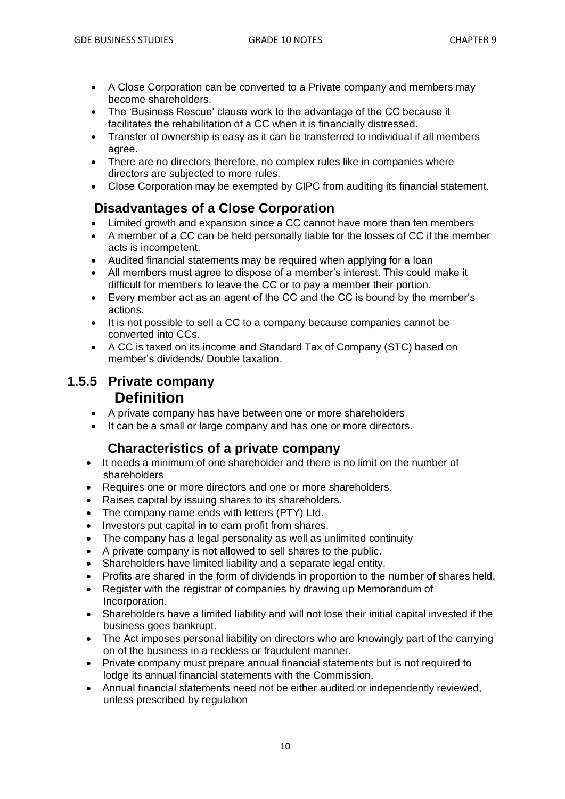- A Close Corporation can be converted to a Private company and members may become shareholders.
- The 'Business Rescue' clause work to the advantage of the CC because it facilitates the rehabilitation of a CC when it is financially distressed.
- Transfer of ownership is easy as it can be transferred to individual if all members agree.
- There are no directors therefore, no complex rules like in companies where directors are subjected to more rules.
- Close Corporation may be exempted by CIPC from auditing its financial statement.

# **Disadvantages of a Close Corporation**

- Limited growth and expansion since a CC cannot have more than ten members
- A member of a CC can be held personally liable for the losses of CC if the member acts is incompetent.
- Audited financial statements may be required when applying for a loan
- All members must agree to dispose of a member's interest. This could make it difficult for members to leave the CC or to pay a member their portion.
- Every member act as an agent of the CC and the CC is bound by the member's actions.
- It is not possible to sell a CC to a company because companies cannot be converted into CCs.
- A CC is taxed on its income and Standard Tax of Company (STC) based on member's dividends/ Double taxation.

#### **1.5.5 Private company Definition**

- A private company has have between one or more shareholders
- It can be a small or large company and has one or more directors.

#### **Characteristics of a private company**

- It needs a minimum of one shareholder and there is no limit on the number of shareholders
- Requires one or more directors and one or more shareholders.
- Raises capital by issuing shares to its shareholders.
- The company name ends with letters (PTY) Ltd.
- Investors put capital in to earn profit from shares.
- The company has a legal personality as well as unlimited continuity
- A private company is not allowed to sell shares to the public.
- Shareholders have limited liability and a separate legal entity.
- Profits are shared in the form of dividends in proportion to the number of shares held.
- Register with the registrar of companies by drawing up Memorandum of Incorporation.
- Shareholders have a limited liability and will not lose their initial capital invested if the business goes bankrupt.
- The Act imposes personal liability on directors who are knowingly part of the carrying on of the business in a reckless or fraudulent manner.
- Private company must prepare annual financial statements but is not required to lodge its annual financial statements with the Commission.
- Annual financial statements need not be either audited or independently reviewed, unless prescribed by regulation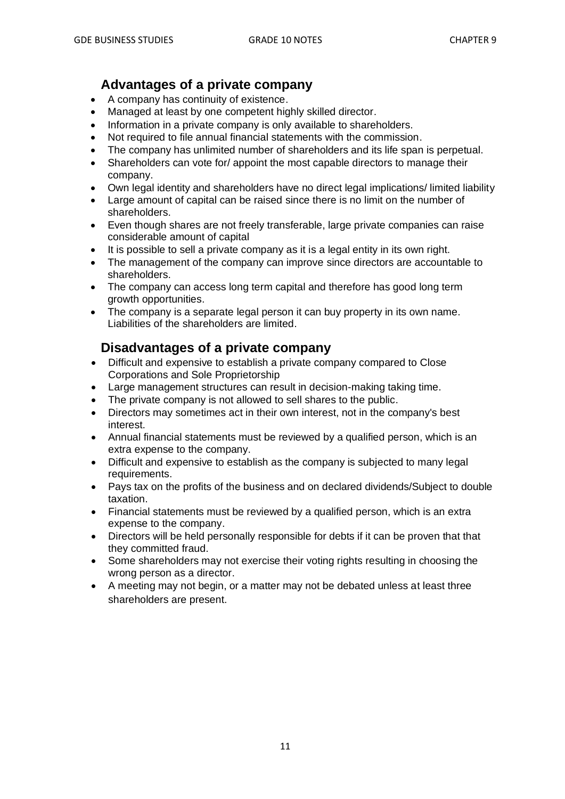#### **Advantages of a private company**

- A company has continuity of existence.
- Managed at least by one competent highly skilled director.
- Information in a private company is only available to shareholders.
- Not required to file annual financial statements with the commission.
- The company has unlimited number of shareholders and its life span is perpetual.
- Shareholders can vote for/ appoint the most capable directors to manage their company.
- Own legal identity and shareholders have no direct legal implications/ limited liability
- Large amount of capital can be raised since there is no limit on the number of shareholders.
- Even though shares are not freely transferable, large private companies can raise considerable amount of capital
- It is possible to sell a private company as it is a legal entity in its own right.
- The management of the company can improve since directors are accountable to shareholders.
- The company can access long term capital and therefore has good long term growth opportunities.
- The company is a separate legal person it can buy property in its own name. Liabilities of the shareholders are limited.

#### **Disadvantages of a private company**

- Difficult and expensive to establish a private company compared to Close Corporations and Sole Proprietorship
- Large management structures can result in decision-making taking time.
- The private company is not allowed to sell shares to the public.
- Directors may sometimes act in their own interest, not in the company's best interest.
- Annual financial statements must be reviewed by a qualified person, which is an extra expense to the company.
- Difficult and expensive to establish as the company is subjected to many legal requirements.
- Pays tax on the profits of the business and on declared dividends/Subject to double taxation.
- Financial statements must be reviewed by a qualified person, which is an extra expense to the company.
- Directors will be held personally responsible for debts if it can be proven that that they committed fraud.
- Some shareholders may not exercise their voting rights resulting in choosing the wrong person as a director.
- A meeting may not begin, or a matter may not be debated unless at least three shareholders are present.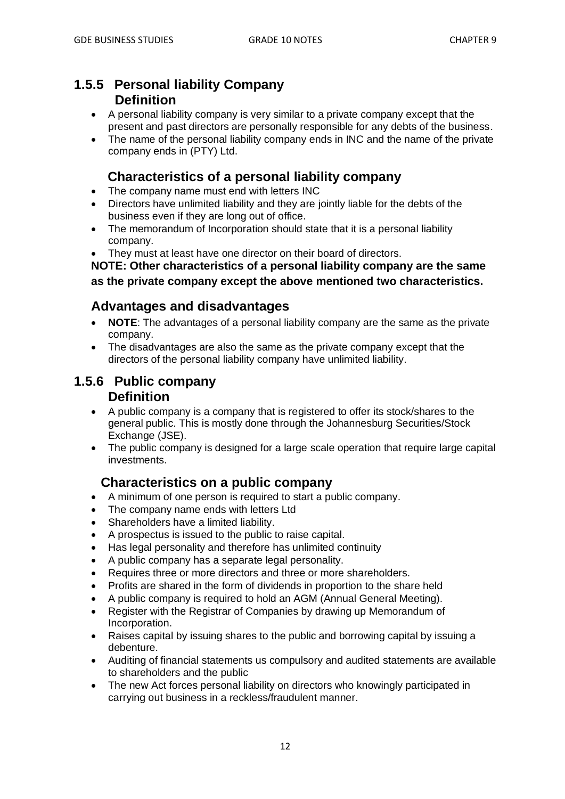#### **1.5.5 Personal liability Company Definition**

- A personal liability company is very similar to a private company except that the present and past directors are personally responsible for any debts of the business.
- The name of the personal liability company ends in INC and the name of the private company ends in (PTY) Ltd.

# **Characteristics of a personal liability company**

- The company name must end with letters INC
- Directors have unlimited liability and they are jointly liable for the debts of the business even if they are long out of office.
- The memorandum of Incorporation should state that it is a personal liability company.
- They must at least have one director on their board of directors.

**NOTE: Other characteristics of a personal liability company are the same as the private company except the above mentioned two characteristics.**

# **Advantages and disadvantages**

- **NOTE**: The advantages of a personal liability company are the same as the private company.
- The disadvantages are also the same as the private company except that the directors of the personal liability company have unlimited liability.

#### **1.5.6 Public company Definition**

- A public company is a company that is registered to offer its stock/shares to the general public. This is mostly done through the Johannesburg Securities/Stock Exchange (JSE).
- The public company is designed for a large scale operation that require large capital investments.

#### **Characteristics on a public company**

- A minimum of one person is required to start a public company.
- The company name ends with letters Ltd
- Shareholders have a limited liability.
- A prospectus is issued to the public to raise capital.
- Has legal personality and therefore has unlimited continuity
- A public company has a separate legal personality.
- Requires three or more directors and three or more shareholders.
- Profits are shared in the form of dividends in proportion to the share held
- A public company is required to hold an AGM (Annual General Meeting).
- Register with the Registrar of Companies by drawing up Memorandum of Incorporation.
- Raises capital by issuing shares to the public and borrowing capital by issuing a debenture.
- Auditing of financial statements us compulsory and audited statements are available to shareholders and the public
- The new Act forces personal liability on directors who knowingly participated in carrying out business in a reckless/fraudulent manner.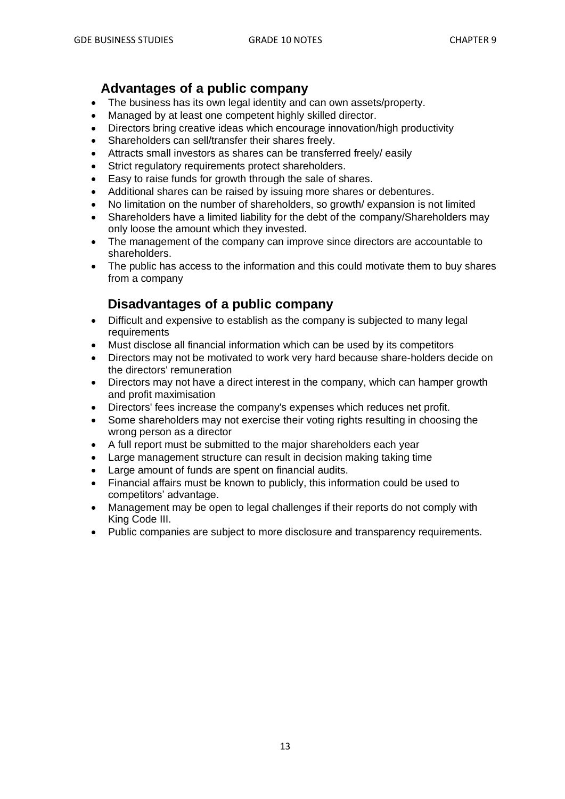# **Advantages of a public company**

- The business has its own legal identity and can own assets/property.
- Managed by at least one competent highly skilled director.
- Directors bring creative ideas which encourage innovation/high productivity
- Shareholders can sell/transfer their shares freely.
- Attracts small investors as shares can be transferred freely/ easily
- Strict regulatory requirements protect shareholders.
- Easy to raise funds for growth through the sale of shares.
- Additional shares can be raised by issuing more shares or debentures.
- No limitation on the number of shareholders, so growth/ expansion is not limited
- Shareholders have a limited liability for the debt of the company/Shareholders may only loose the amount which they invested.
- The management of the company can improve since directors are accountable to shareholders.
- The public has access to the information and this could motivate them to buy shares from a company

# **Disadvantages of a public company**

- Difficult and expensive to establish as the company is subjected to many legal requirements
- Must disclose all financial information which can be used by its competitors
- Directors may not be motivated to work very hard because share-holders decide on the directors' remuneration
- Directors may not have a direct interest in the company, which can hamper growth and profit maximisation
- Directors' fees increase the company's expenses which reduces net profit.
- Some shareholders may not exercise their voting rights resulting in choosing the wrong person as a director
- A full report must be submitted to the major shareholders each year
- Large management structure can result in decision making taking time
- Large amount of funds are spent on financial audits.
- Financial affairs must be known to publicly, this information could be used to competitors' advantage.
- Management may be open to legal challenges if their reports do not comply with King Code III.
- Public companies are subject to more disclosure and transparency requirements.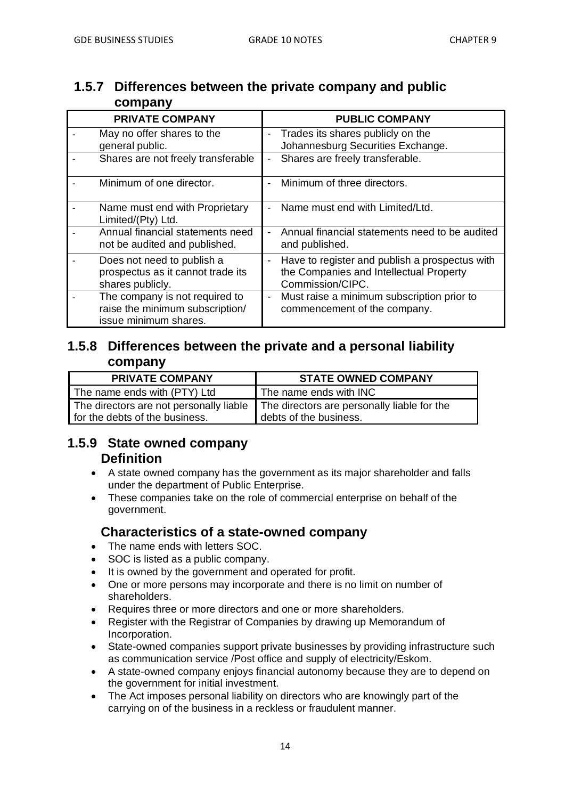# **1.5.7 Differences between the private company and public company**

| <b>PRIVATE COMPANY</b>                                                                     | <b>PUBLIC COMPANY</b>                                                                                              |
|--------------------------------------------------------------------------------------------|--------------------------------------------------------------------------------------------------------------------|
| May no offer shares to the<br>general public.                                              | Trades its shares publicly on the<br>-<br>Johannesburg Securities Exchange.                                        |
| Shares are not freely transferable                                                         | Shares are freely transferable.<br>-                                                                               |
| Minimum of one director.                                                                   | Minimum of three directors.                                                                                        |
| Name must end with Proprietary<br>Limited/(Pty) Ltd.                                       | Name must end with Limited/Ltd.<br>$\overline{a}$                                                                  |
| Annual financial statements need<br>not be audited and published.                          | Annual financial statements need to be audited<br>L,<br>and published.                                             |
| Does not need to publish a<br>prospectus as it cannot trade its<br>shares publicly.        | Have to register and publish a prospectus with<br>-<br>the Companies and Intellectual Property<br>Commission/CIPC. |
| The company is not required to<br>raise the minimum subscription/<br>issue minimum shares. | Must raise a minimum subscription prior to<br>$\overline{\phantom{0}}$<br>commencement of the company.             |

# **1.5.8 Differences between the private and a personal liability company**

| <b>PRIVATE COMPANY</b>         | <b>STATE OWNED COMPANY</b>                                                          |
|--------------------------------|-------------------------------------------------------------------------------------|
| The name ends with (PTY) Ltd   | The name ends with INC                                                              |
|                                | The directors are not personally liable The directors are personally liable for the |
| for the debts of the business. | debts of the business.                                                              |

# **1.5.9 State owned company Definition**

- A state owned company has the government as its major shareholder and falls under the department of Public Enterprise.
- These companies take on the role of commercial enterprise on behalf of the government.

# **Characteristics of a state-owned company**

- The name ends with letters SOC.
- SOC is listed as a public company.
- It is owned by the government and operated for profit.
- One or more persons may incorporate and there is no limit on number of shareholders.
- Requires three or more directors and one or more shareholders.
- Register with the Registrar of Companies by drawing up Memorandum of Incorporation.
- State-owned companies support private businesses by providing infrastructure such as communication service /Post office and supply of electricity/Eskom.
- A state-owned company enjoys financial autonomy because they are to depend on the government for initial investment.
- The Act imposes personal liability on directors who are knowingly part of the carrying on of the business in a reckless or fraudulent manner.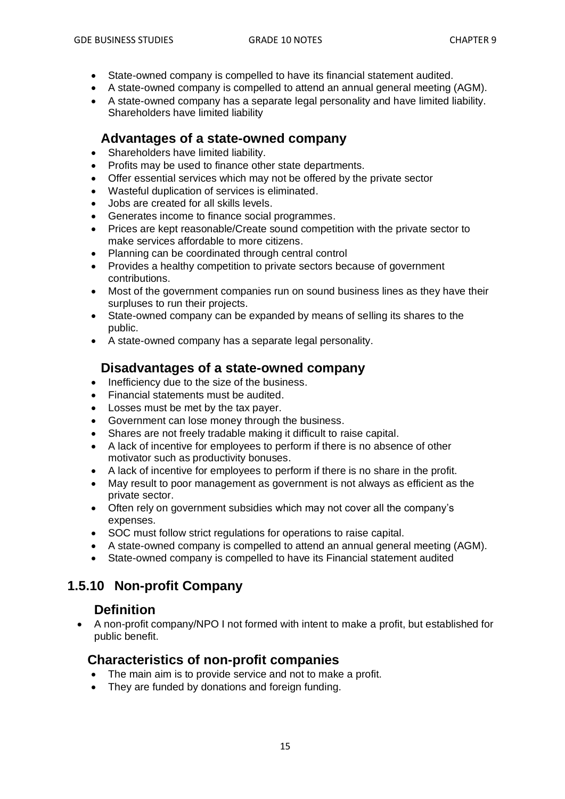- State-owned company is compelled to have its financial statement audited.
- A state-owned company is compelled to attend an annual general meeting (AGM).
- A state-owned company has a separate legal personality and have limited liability. Shareholders have limited liability

#### **Advantages of a state-owned company**

- Shareholders have limited liability.
- Profits may be used to finance other state departments.
- Offer essential services which may not be offered by the private sector
- Wasteful duplication of services is eliminated.
- Jobs are created for all skills levels.
- Generates income to finance social programmes.
- Prices are kept reasonable/Create sound competition with the private sector to make services affordable to more citizens.
- Planning can be coordinated through central control
- Provides a healthy competition to private sectors because of government contributions.
- Most of the government companies run on sound business lines as they have their surpluses to run their projects.
- State-owned company can be expanded by means of selling its shares to the public.
- A state-owned company has a separate legal personality.

# **Disadvantages of a state-owned company**

- Inefficiency due to the size of the business.
- Financial statements must be audited.
- Losses must be met by the tax payer.
- Government can lose money through the business.
- Shares are not freely tradable making it difficult to raise capital.
- A lack of incentive for employees to perform if there is no absence of other motivator such as productivity bonuses.
- A lack of incentive for employees to perform if there is no share in the profit.
- May result to poor management as government is not always as efficient as the private sector.
- Often rely on government subsidies which may not cover all the company's expenses.
- SOC must follow strict regulations for operations to raise capital.
- A state-owned company is compelled to attend an annual general meeting (AGM).
- State-owned company is compelled to have its Financial statement audited

# **1.5.10 Non-profit Company**

#### **Definition**

• A non-profit company/NPO I not formed with intent to make a profit, but established for public benefit.

#### **Characteristics of non-profit companies**

- The main aim is to provide service and not to make a profit.
- They are funded by donations and foreign funding.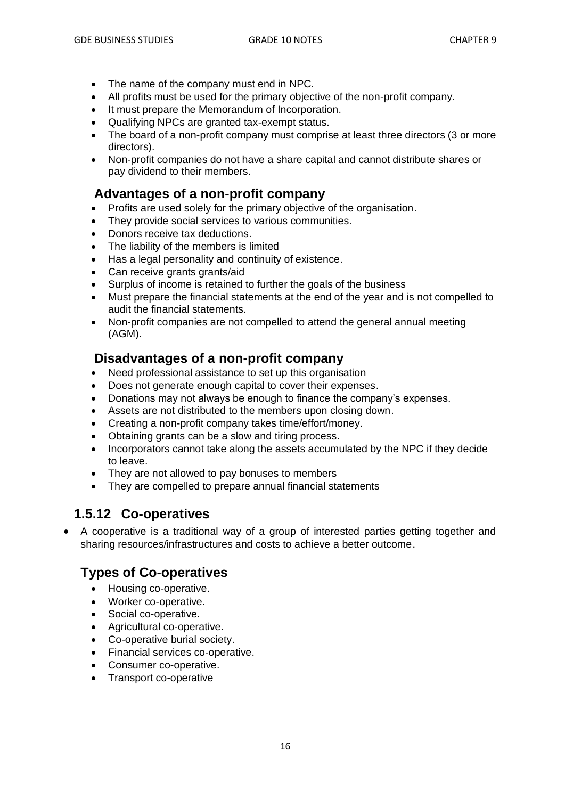- The name of the company must end in NPC.
- All profits must be used for the primary objective of the non-profit company.
- It must prepare the Memorandum of Incorporation.
- Qualifying NPCs are granted tax-exempt status.
- The board of a non-profit company must comprise at least three directors (3 or more directors).
- Non-profit companies do not have a share capital and cannot distribute shares or pay dividend to their members.

#### **Advantages of a non-profit company**

- Profits are used solely for the primary objective of the organisation.
- They provide social services to various communities.
- Donors receive tax deductions.
- The liability of the members is limited
- Has a legal personality and continuity of existence.
- Can receive grants grants/aid
- Surplus of income is retained to further the goals of the business
- Must prepare the financial statements at the end of the year and is not compelled to audit the financial statements.
- Non-profit companies are not compelled to attend the general annual meeting (AGM).

# **Disadvantages of a non-profit company**

- Need professional assistance to set up this organisation
- Does not generate enough capital to cover their expenses.
- Donations may not always be enough to finance the company's expenses.
- Assets are not distributed to the members upon closing down.
- Creating a non-profit company takes time/effort/money.
- Obtaining grants can be a slow and tiring process.
- Incorporators cannot take along the assets accumulated by the NPC if they decide to leave.
- They are not allowed to pay bonuses to members
- They are compelled to prepare annual financial statements

# **1.5.12 Co-operatives**

• A cooperative is a traditional way of a group of interested parties getting together and sharing resources/infrastructures and costs to achieve a better outcome.

# **Types of Co-operatives**

- Housing co-operative.
- Worker co-operative.
- Social co-operative.
- Agricultural co-operative.
- Co-operative burial society.
- Financial services co-operative.
- Consumer co-operative.
- Transport co-operative